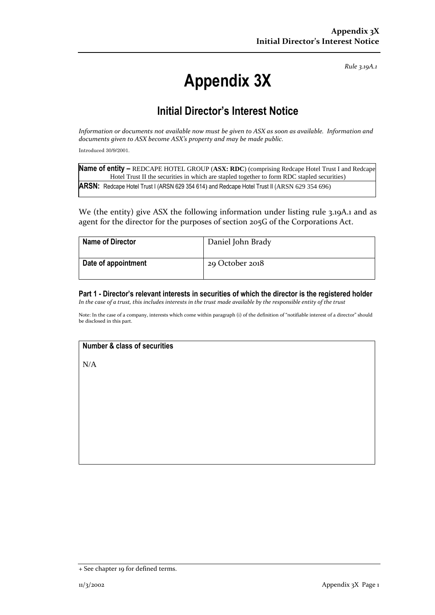*Rule 3.19A.1*

# **Appendix 3X**

## **Initial Director's Interest Notice**

*Information or documents not available now must be given to ASX as soon as available. Information and documents given to ASX become ASX's property and may be made public.*

Introduced 30/9/2001.

| Name of entity - REDCAPE HOTEL GROUP (ASX: RDC) (comprising Redcape Hotel Trust I and Redcape |
|-----------------------------------------------------------------------------------------------|
| Hotel Trust II the securities in which are stapled together to form RDC stapled securities)   |
| ARSN: Redcape Hotel Trust I (ARSN 629 354 614) and Redcape Hotel Trust II (ARSN 629 354 696)  |

We (the entity) give ASX the following information under listing rule 3.19A.1 and as agent for the director for the purposes of section 205G of the Corporations Act.

| <b>Name of Director</b> | Daniel John Brady |
|-------------------------|-------------------|
| Date of appointment     | 29 October 2018   |

**Part 1 - Director's relevant interests in securities of which the director is the registered holder** *In the case of a trust, this includes interests in the trust made available by the responsible entity of the trust*

Note: In the case of a company, interests which come within paragraph (i) of the definition of "notifiable interest of a director" should be disclosed in this part.

### **Number & class of securities**

N/A

<sup>+</sup> See chapter 19 for defined terms.